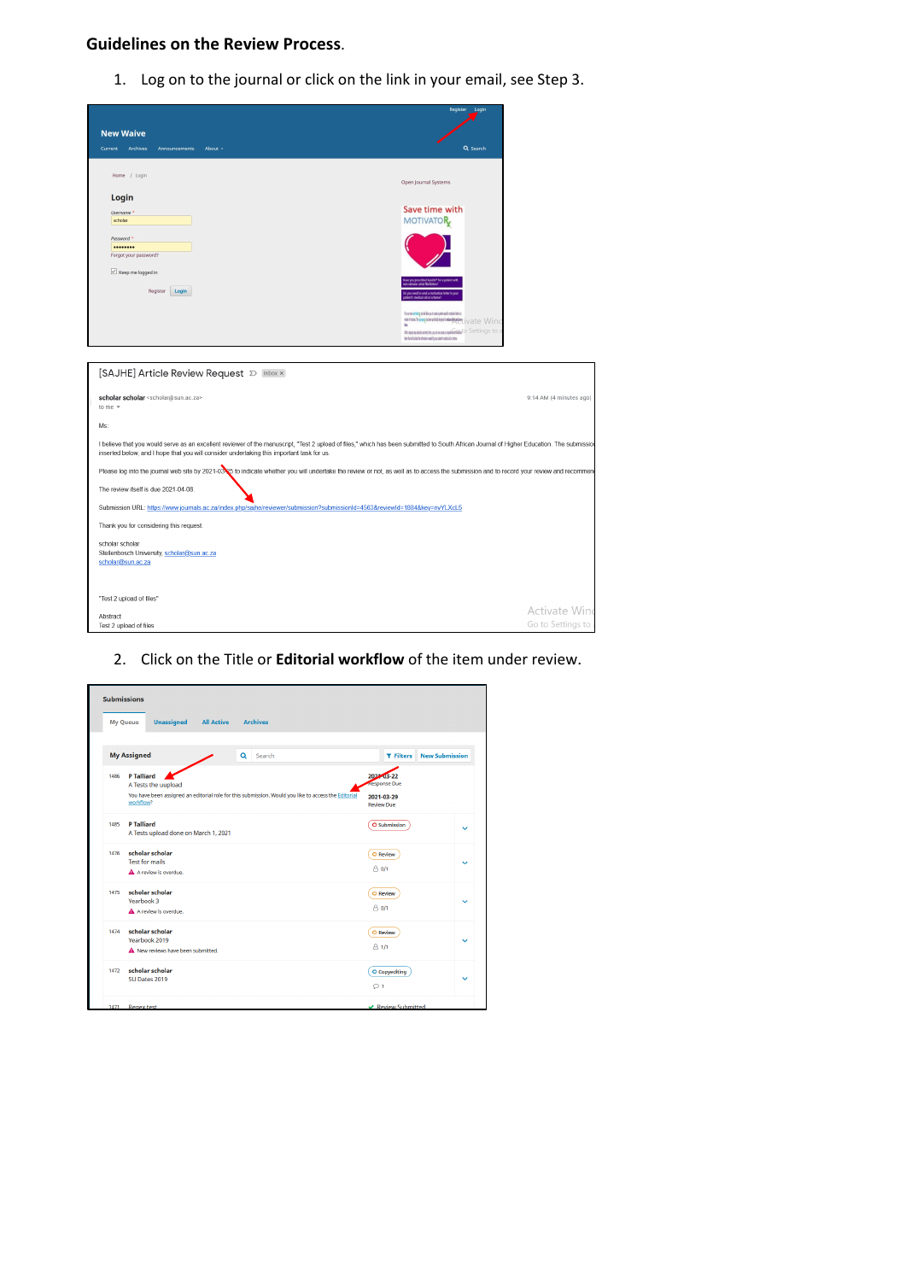## **Guidelines on the Review Process**.

1. Log on to the journal or click on the link in your email, see Step 3.

| <b>New Waive</b><br>Archives<br>About -<br><b>Current</b><br>Announcements                                                  | Register Login<br>Q Search                                                                                                                                                                                                              |
|-----------------------------------------------------------------------------------------------------------------------------|-----------------------------------------------------------------------------------------------------------------------------------------------------------------------------------------------------------------------------------------|
| Home / Login                                                                                                                | Open Journal Systems                                                                                                                                                                                                                    |
| Login<br>Username <sup>*</sup><br>scholar                                                                                   | Save time with<br><b>MOTIVATOR</b>                                                                                                                                                                                                      |
| Password *<br><br>Forgot your password?<br>$\boxtimes$ Keep me logged in                                                    |                                                                                                                                                                                                                                         |
| Register<br>Login                                                                                                           | Samply to his letter                                                                                                                                                                                                                    |
|                                                                                                                             | forumen and any book of a state of the political state in the first of<br>www.www.electeronicalentery.jvate Wind<br>'n.<br><b>Historian Announcement</b> Settings to a<br>idar futuli idak fu idanatar wekila nur paket mekalakir idana |
| scholar scholar <scholar@sun.ac.za><br/>to me <math>=</math><br/>Ms:</scholar@sun.ac.za>                                    | 9:14 AM (4 minutes ago)                                                                                                                                                                                                                 |
|                                                                                                                             |                                                                                                                                                                                                                                         |
| inserted below, and I hope that you will consider undertaking this important task for us.                                   | I believe that you would serve as an excellent reviewer of the manuscript, "Test 2 upload of files," which has been submitted to South African Journal of Higher Education. The submissio                                               |
| The review itself is due 2021-04-08.                                                                                        | Please log into the journal web site by 2021-0325 to indicate whether you will undertake the review or not, as well as to access the submission and to record your review and recommen                                                  |
| Submission URL: https://www.journals.ac.za/index.php/sajhe/reviewer/submission?submissionId=4563&reviewId=1884&key=nvYLXcL5 |                                                                                                                                                                                                                                         |
| Thank you for considering this request.                                                                                     |                                                                                                                                                                                                                                         |
| scholar scholar<br>Stellenbosch University, scholar@sun.ac.za<br>scholar@sun.ac.za                                          |                                                                                                                                                                                                                                         |
| "Test 2 upload of files"                                                                                                    |                                                                                                                                                                                                                                         |
| Abstract<br>Test 2 upload of files                                                                                          | Activate Win<br>Go to Settings to                                                                                                                                                                                                       |

2. Click on the Title or **Editorial workflow** of the item under review.

|                 | <b>Submissions</b>                                                                                                |                                           |              |
|-----------------|-------------------------------------------------------------------------------------------------------------------|-------------------------------------------|--------------|
| <b>My Queue</b> | <b>Archives</b><br><b>Unassigned</b><br><b>All Active</b>                                                         |                                           |              |
|                 |                                                                                                                   |                                           |              |
|                 | <b>My Assigned</b><br>Search<br>Q                                                                                 | <b>New Submission</b><br><b>T</b> Filters |              |
| 1486            | <b>P Talliard</b><br>A Tests the uupload                                                                          | 2021-03-22<br><b>Response Due</b>         |              |
|                 | You have been assigned an editorial role for this submission. Would you like to access the Editorial<br>workflow? | 2021-03-29<br><b>Review Due</b>           |              |
| 1485            | <b>P Talliard</b><br>A Tests upload done on March 1, 2021                                                         | O Submission                              | $\checkmark$ |
| 1476            | scholar scholar<br><b>Test for mails</b>                                                                          | O Review                                  | $\checkmark$ |
|                 | A A review is overdue.                                                                                            | $A_0/1$                                   |              |
| 1475            | scholar scholar<br>Yearbook 3                                                                                     | O Review                                  | $\checkmark$ |
|                 | A A review is overdue.                                                                                            | $A$ $0/1$                                 |              |
| 1474            | scholar scholar<br>Yearbook 2019                                                                                  | O Review                                  | $\checkmark$ |
|                 | A New reviews have been submitted.                                                                                | $A_1/1$                                   |              |
| 1472            | scholar scholar<br>SU Dates 2019                                                                                  | O Copyediting                             | $\checkmark$ |
|                 |                                                                                                                   | O <sub>1</sub>                            |              |
| 1471            | <b>Regex test</b>                                                                                                 | ← Review Submitted                        |              |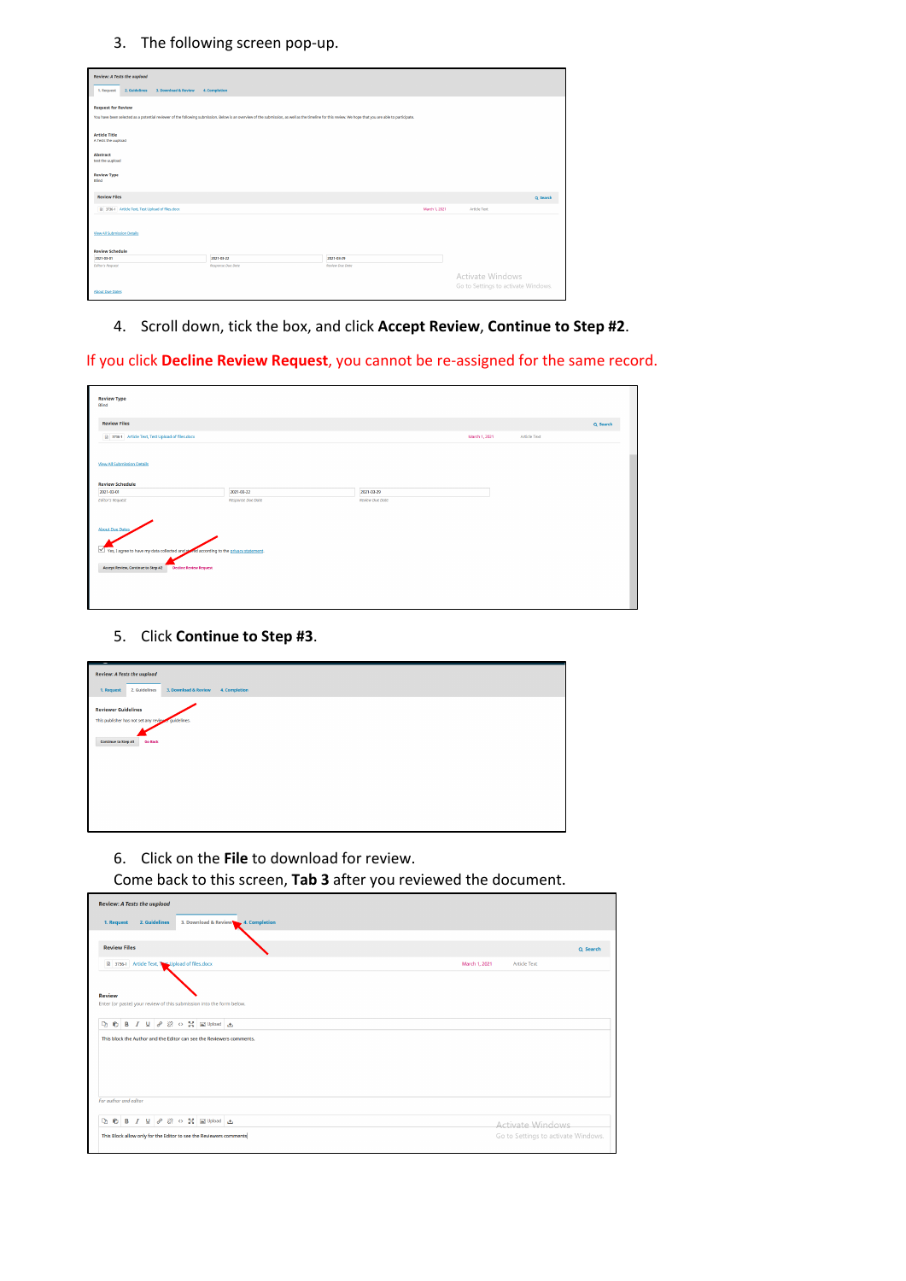3. The following screen pop-up.

| <b>Review: A Tests the uupload</b>                  |                                                                                                                                                                                                        |                 |               |                                     |  |
|-----------------------------------------------------|--------------------------------------------------------------------------------------------------------------------------------------------------------------------------------------------------------|-----------------|---------------|-------------------------------------|--|
| 2. Guidelines<br>3. Download & Review<br>1. Request | 4. Completion                                                                                                                                                                                          |                 |               |                                     |  |
|                                                     |                                                                                                                                                                                                        |                 |               |                                     |  |
| <b>Request for Review</b>                           |                                                                                                                                                                                                        |                 |               |                                     |  |
|                                                     | You have been selected as a potential reviewer of the following submission. Below is an overview of the submission, as well as the timeline for this review. We hope that you are able to participate. |                 |               |                                     |  |
|                                                     |                                                                                                                                                                                                        |                 |               |                                     |  |
| <b>Article Title</b><br>A Tests the uupload         |                                                                                                                                                                                                        |                 |               |                                     |  |
|                                                     |                                                                                                                                                                                                        |                 |               |                                     |  |
| Abstract                                            |                                                                                                                                                                                                        |                 |               |                                     |  |
| test the uupload                                    |                                                                                                                                                                                                        |                 |               |                                     |  |
| <b>Review Type</b>                                  |                                                                                                                                                                                                        |                 |               |                                     |  |
| Blind                                               |                                                                                                                                                                                                        |                 |               |                                     |  |
| <b>Review Files</b>                                 |                                                                                                                                                                                                        |                 |               | Q Search                            |  |
| R 3736-1 Article Text, Test Upload of files.dock    |                                                                                                                                                                                                        |                 | March 1, 2021 | <b>Article Text</b>                 |  |
|                                                     |                                                                                                                                                                                                        |                 |               |                                     |  |
| View All Submission Details                         |                                                                                                                                                                                                        |                 |               |                                     |  |
|                                                     |                                                                                                                                                                                                        |                 |               |                                     |  |
| <b>Review Schedule</b>                              |                                                                                                                                                                                                        |                 |               |                                     |  |
| 2021-03-01                                          | 2021-03-22                                                                                                                                                                                             | 2021-03-29      |               |                                     |  |
| <b>Editor's Request</b>                             | Response Due Date                                                                                                                                                                                      | Review Due Date |               |                                     |  |
|                                                     |                                                                                                                                                                                                        |                 |               | Activate Windows                    |  |
| <b>About Due Dates</b>                              |                                                                                                                                                                                                        |                 |               | Go to Settings to activate Windows. |  |
|                                                     |                                                                                                                                                                                                        |                 |               |                                     |  |

4. Scroll down, tick the box, and click **Accept Review**, **Continue to Step #2**.

If you click **Decline Review Request**, you cannot be re-assigned for the same record.

| <b>Review Type</b><br>Blind                                                                                                                                                 |                                 |                                      |               |                     |          |
|-----------------------------------------------------------------------------------------------------------------------------------------------------------------------------|---------------------------------|--------------------------------------|---------------|---------------------|----------|
| <b>Review Files</b>                                                                                                                                                         |                                 |                                      |               |                     | Q Search |
| 3736-1 Article Text, Test Upload of files.docx                                                                                                                              |                                 |                                      | March 1, 2021 | <b>Article Text</b> |          |
| <b>View All Submission Details</b><br><b>Review Schedule</b>                                                                                                                |                                 |                                      |               |                     |          |
| 2021-03-01<br><b>Editor's Request</b>                                                                                                                                       | 2021-03-22<br>Response Due Date | 2021-03-29<br><b>Review Due Date</b> |               |                     |          |
| <b>About Due Dates</b><br>Yes, I agree to have my data collected and coned according to the privacy statement.<br>Accept Review, Continue to Step #2 Decline Review Request |                                 |                                      |               |                     |          |

### 5. Click **Continue to Step #3**.

| -<br><b>Review: A Tests the uupload</b><br>3. Download & Review<br>2. Guidelines<br>4. Completion<br>1. Request |
|-----------------------------------------------------------------------------------------------------------------|
| <b>Reviewer Guidelines</b><br>This publisher has not set any reviewer guidelines.                               |
| Continue to Step #3<br><b>Go Back</b>                                                                           |
|                                                                                                                 |
|                                                                                                                 |

6. Click on the **File** to download for review.

Come back to this screen, **Tab 3** after you reviewed the document.

| <b>Review: A Tests the uupload</b>                                                                                                                                                                                            |                                      |
|-------------------------------------------------------------------------------------------------------------------------------------------------------------------------------------------------------------------------------|--------------------------------------|
| 2. Guidelines<br>3. Download & Review 4. Completion<br>1. Request                                                                                                                                                             |                                      |
|                                                                                                                                                                                                                               |                                      |
| <b>Review Files</b>                                                                                                                                                                                                           | Q Search                             |
| 3736-1 Article Text, Ne Upload of files.docx                                                                                                                                                                                  | March 1, 2021<br><b>Article Text</b> |
|                                                                                                                                                                                                                               |                                      |
| <b>Review</b>                                                                                                                                                                                                                 |                                      |
| Enter (or paste) your review of this submission into the form below.                                                                                                                                                          |                                      |
| $D_2$ $D_3$ $D_4$ $D_5$ $D_6$ $D_7$ $D_8$ $D_9$ $D_9$ $D_9$ $D_9$ $D_9$ $D_9$ $D_9$ $D_9$ $D_9$ $D_9$ $D_9$ $D_9$ $D_9$ $D_9$ $D_9$ $D_9$ $D_9$ $D_9$ $D_9$ $D_9$ $D_9$ $D_9$ $D_9$ $D_9$ $D_9$ $D_9$ $D_9$ $D_9$ $D_9$ $D_9$ |                                      |
|                                                                                                                                                                                                                               |                                      |
|                                                                                                                                                                                                                               |                                      |
|                                                                                                                                                                                                                               |                                      |
| This block the Author and the Editor can see the Reviewers comments.                                                                                                                                                          |                                      |
|                                                                                                                                                                                                                               |                                      |
|                                                                                                                                                                                                                               |                                      |
| For author and editor                                                                                                                                                                                                         |                                      |
| <b>Q B B I U &amp; ※ o 器 国Upload 出</b>                                                                                                                                                                                        | <b>Activate Windows</b>              |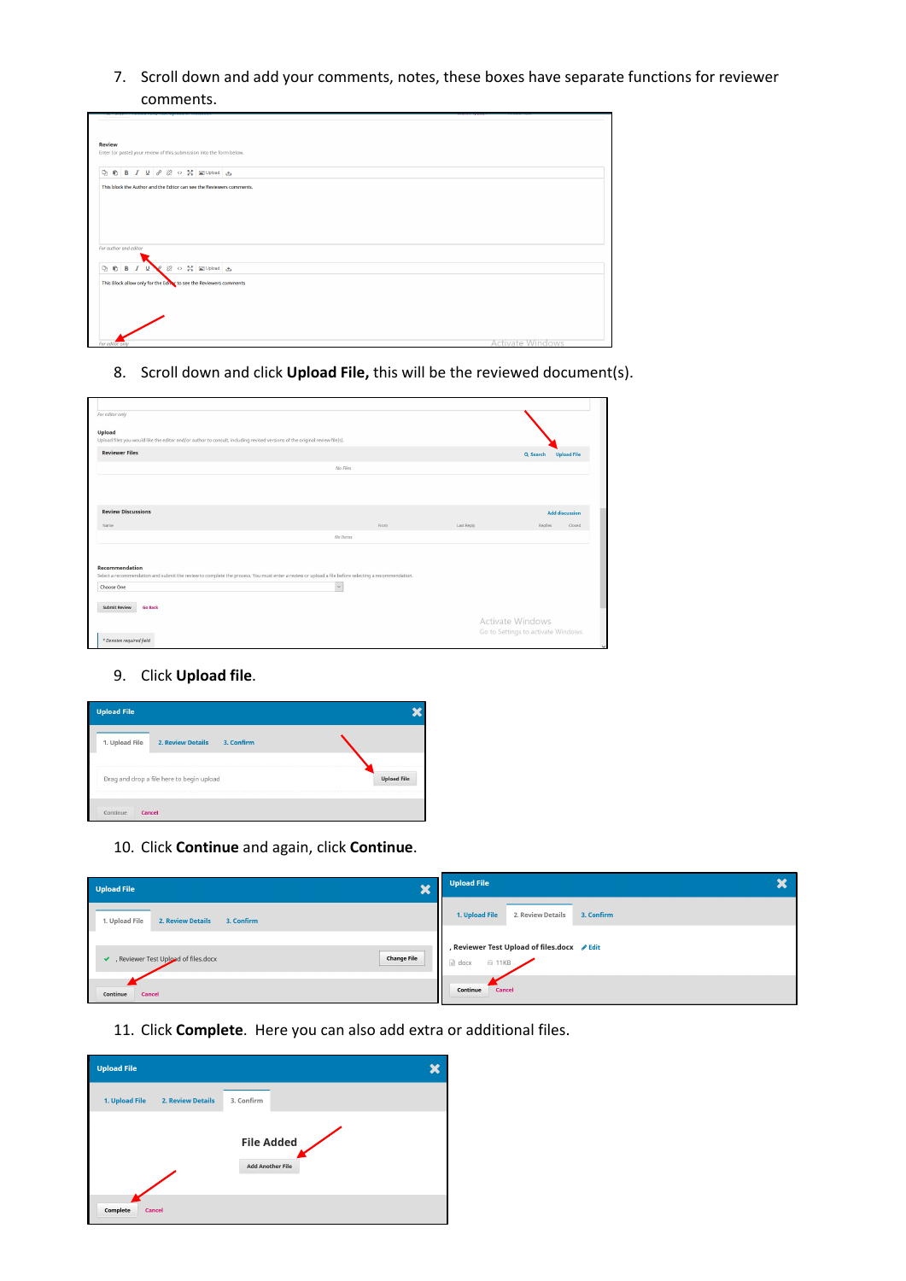7. Scroll down and add your comments, notes, these boxes have separate functions for reviewer comments.

| <b>Review</b>                                                                      |                         |
|------------------------------------------------------------------------------------|-------------------------|
| Enter (or paste) your review of this submission into the form below.               |                         |
|                                                                                    |                         |
| <b>Q</b> © B <i>I</i> <u>U</u> ∂ 22 ○ H I Upload 上                                 |                         |
|                                                                                    |                         |
| This block the Author and the Editor can see the Reviewers comments.               |                         |
|                                                                                    |                         |
|                                                                                    |                         |
|                                                                                    |                         |
|                                                                                    |                         |
|                                                                                    |                         |
|                                                                                    |                         |
|                                                                                    |                         |
|                                                                                    |                         |
|                                                                                    |                         |
| For author and editor<br>$I \subseteq \bullet$ 22 $\circ$ 32 $\equiv$ Upload $\pm$ |                         |
| <b>DO</b> B                                                                        |                         |
|                                                                                    |                         |
|                                                                                    |                         |
|                                                                                    |                         |
|                                                                                    |                         |
|                                                                                    |                         |
|                                                                                    |                         |
| This Block allow only for the Editor to see the Reviewers comments                 | <b>Activate Windows</b> |

8. Scroll down and click **Upload File,** this will be the reviewed document(s).

| For editor only<br><b>Upload</b><br>Upload files you would like the editor and/or author to consult, including revised versions of the original review file(s).                           |               |      |            |                                                                |
|-------------------------------------------------------------------------------------------------------------------------------------------------------------------------------------------|---------------|------|------------|----------------------------------------------------------------|
| <b>Reviewer Files</b>                                                                                                                                                                     |               |      |            | <b>Upload File</b><br>Q Search                                 |
|                                                                                                                                                                                           | No Files      |      |            |                                                                |
|                                                                                                                                                                                           |               |      |            |                                                                |
| <b>Review Discussions</b>                                                                                                                                                                 |               |      |            | <b>Add discussion</b>                                          |
| Name                                                                                                                                                                                      |               | From | Last Reply | Replies<br>Closed                                              |
|                                                                                                                                                                                           | No Items      |      |            |                                                                |
| <b>Recommendation</b><br>Select a recommendation and submit the review to complete the process. You must enter a review or upload a file before selecting a recommendation.<br>Choose One | $\smallsmile$ |      |            |                                                                |
| <b>Submit Review</b><br><b>Go Back</b>                                                                                                                                                    |               |      |            | <b>Activate Windows</b><br>Go to Settings to activate Windows. |
| * Denotes required field                                                                                                                                                                  |               |      |            |                                                                |

9. Click **Upload file**.

| <b>Upload File</b> |                                           |            |                    |
|--------------------|-------------------------------------------|------------|--------------------|
| 1. Upload File     | <b>2. Review Details</b>                  | 3. Confirm |                    |
|                    | Drag and drop a file here to begin upload |            | <b>Upload File</b> |
| Continue<br>Cancel |                                           |            |                    |

10. Click **Continue** and again, click **Continue**.

| Upload File<br>$\bullet$<br>◚                                                                        | Upload File                                                              |
|------------------------------------------------------------------------------------------------------|--------------------------------------------------------------------------|
| 1. Upload File                                                                                       | 1. Upload File                                                           |
| <b>2. Review Details</b>                                                                             | 2. Review Details                                                        |
| 3. Confirm                                                                                           | 3. Confirm                                                               |
| <br><b>Change File</b><br>, Reviewer Test Upload of files.docx<br>$\checkmark$<br>------------------ | , Reviewer Test Upload of files.docx ∕Edit<br>w docx<br>$\triangle$ 11KB |
| Continue                                                                                             | Continue                                                                 |
| Cancel                                                                                               | Cancel                                                                   |

11. Click **Complete**. Here you can also add extra or additional files.

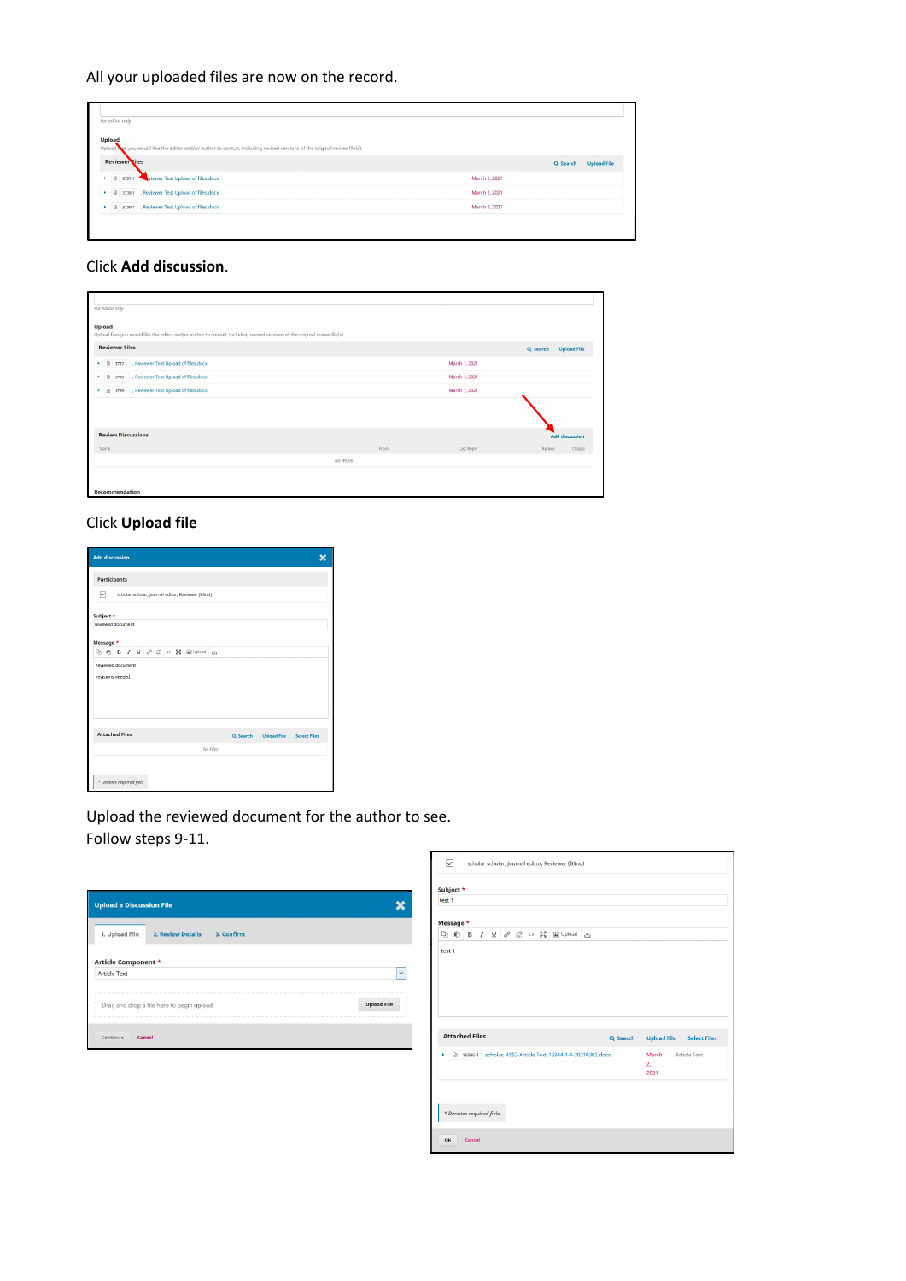All your uploaded files are now on the record.

| For editor only                                                                                                                            |               |                                |
|--------------------------------------------------------------------------------------------------------------------------------------------|---------------|--------------------------------|
| <b>Upload</b><br>Upload tes you would like the editor and/or author to consult, including revised versions of the original review file(s). |               |                                |
| <b>Reviewer</b> Files                                                                                                                      |               | <b>Upload File</b><br>Q Search |
| 8 3737-1 Wiewer Test Upload of files.docx                                                                                                  | March 1, 2021 |                                |
| ▶ <i>a</i> 3738-1 , Reviewer Test Upload of files.docx                                                                                     | March 1, 2021 |                                |
| ▶ 國 3739-1 , Reviewer Test Upload of files.docx                                                                                            | March 1, 2021 |                                |

### Click **Add discussion**.

| For editor only                                                                                                                              |          |               |                                |
|----------------------------------------------------------------------------------------------------------------------------------------------|----------|---------------|--------------------------------|
| <b>Upload</b><br>Upload files you would like the editor and/or author to consult, including revised versions of the original review file(s). |          |               |                                |
| <b>Reviewer Files</b>                                                                                                                        |          |               | <b>Upload File</b><br>Q Search |
| ▶ 图 3737-1 , Reviewer Test Upload of files.docx                                                                                              |          | March 1, 2021 |                                |
| ▶ 图 3738-1 , Reviewer Test Upload of files.docx                                                                                              |          | March 1, 2021 |                                |
| ▶ 図 3739-1 , Reviewer Test Upload of files.docx                                                                                              |          | March 1, 2021 |                                |
|                                                                                                                                              |          |               |                                |
| <b>Review Discussions</b>                                                                                                                    |          |               | <b>Add discussion</b>          |
| Name                                                                                                                                         | From     | Last Reply    | Closed<br>Replies              |
|                                                                                                                                              | No Items |               |                                |
|                                                                                                                                              |          |               |                                |
| Recommendation                                                                                                                               |          |               |                                |

# Click **Upload file**

| <b>Add discussion</b> |                                                        |                       |  |                          |  |  |  |  |                                                                                                                                                                                                                               |          |  |          |                                 |
|-----------------------|--------------------------------------------------------|-----------------------|--|--------------------------|--|--|--|--|-------------------------------------------------------------------------------------------------------------------------------------------------------------------------------------------------------------------------------|----------|--|----------|---------------------------------|
|                       |                                                        | Participants          |  |                          |  |  |  |  |                                                                                                                                                                                                                               |          |  |          |                                 |
|                       | ☑<br>scholar scholar, Journal editor, Reviewer (Blind) |                       |  |                          |  |  |  |  |                                                                                                                                                                                                                               |          |  |          |                                 |
| Subject *             |                                                        |                       |  |                          |  |  |  |  |                                                                                                                                                                                                                               |          |  |          |                                 |
|                       |                                                        | reviewed document     |  |                          |  |  |  |  |                                                                                                                                                                                                                               |          |  |          |                                 |
| Message *             |                                                        |                       |  |                          |  |  |  |  |                                                                                                                                                                                                                               |          |  |          |                                 |
|                       |                                                        |                       |  |                          |  |  |  |  | $D_2$ $D_3$ $D_4$ $D_5$ $D_6$ $D_7$ $D_8$ $D_9$ $D_9$ $D_9$ $D_9$ $D_9$ $D_9$ $D_9$ $D_9$ $D_9$ $D_9$ $D_9$ $D_9$ $D_9$ $D_9$ $D_9$ $D_9$ $D_9$ $D_9$ $D_9$ $D_9$ $D_9$ $D_9$ $D_9$ $D_9$ $D_9$ $D_9$ $D_9$ $D_9$ $D_9$ $D_9$ |          |  |          |                                 |
|                       | reviewed document<br>revisions needed                  |                       |  |                          |  |  |  |  |                                                                                                                                                                                                                               |          |  |          |                                 |
|                       |                                                        | <b>Attached Files</b> |  |                          |  |  |  |  |                                                                                                                                                                                                                               | No Files |  | Q Search | <b>Upload File</b> Select Files |
|                       |                                                        |                       |  |                          |  |  |  |  |                                                                                                                                                                                                                               |          |  |          |                                 |
|                       |                                                        |                       |  | * Denotes required field |  |  |  |  |                                                                                                                                                                                                                               |          |  |          |                                 |

Upload the reviewed document for the author to see. Follow steps 9-11.

|                     | <b>Upload a Discussion File</b>           |                    |
|---------------------|-------------------------------------------|--------------------|
| 1. Upload File      | 2. Review Details<br>3. Confirm           |                    |
| Article Component * |                                           |                    |
| <b>Article Text</b> |                                           | $\checkmark$       |
|                     | Drag and drop a file here to begin upload | <b>Upload File</b> |
| Continue            | Cancel                                    |                    |

| ☑         |                       |                          |  | scholar scholar, Journal editor, Reviewer (Blind)                                                                                                                                                                             |   |          |                     |                                 |
|-----------|-----------------------|--------------------------|--|-------------------------------------------------------------------------------------------------------------------------------------------------------------------------------------------------------------------------------|---|----------|---------------------|---------------------------------|
| Subject * |                       |                          |  |                                                                                                                                                                                                                               |   |          |                     |                                 |
| test 1    |                       |                          |  |                                                                                                                                                                                                                               |   |          |                     |                                 |
| Message * |                       |                          |  |                                                                                                                                                                                                                               |   |          |                     |                                 |
|           |                       |                          |  | $D_2$ $D_3$ $D_4$ $D_5$ $D_6$ $D_7$ $D_8$ $D_9$ $D_9$ $D_9$ $D_9$ $D_9$ $D_9$ $D_9$ $D_9$ $D_9$ $D_9$ $D_9$ $D_9$ $D_9$ $D_9$ $D_9$ $D_9$ $D_9$ $D_9$ $D_9$ $D_9$ $D_9$ $D_9$ $D_9$ $D_9$ $D_9$ $D_9$ $D_9$ $D_9$ $D_9$ $D_9$ | 土 |          |                     |                                 |
| test 1    |                       |                          |  |                                                                                                                                                                                                                               |   |          |                     |                                 |
|           | <b>Attached Files</b> |                          |  |                                                                                                                                                                                                                               |   | Q Search |                     | <b>Upload File</b> Select Files |
| ¥         |                       |                          |  | [a] 16946-1 scholar, 4552-Article Text-16944-1-4-20210302.docx                                                                                                                                                                |   |          | March<br>2.<br>2021 | Article Text                    |
|           |                       | * Denotes required field |  |                                                                                                                                                                                                                               |   |          |                     |                                 |
| OK        | Cancel                |                          |  |                                                                                                                                                                                                                               |   |          |                     |                                 |